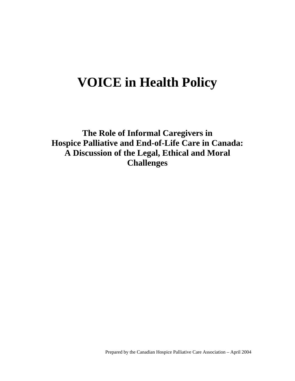# **VOICE in Health Policy**

**The Role of Informal Caregivers in Hospice Palliative and End-of-Life Care in Canada: A Discussion of the Legal, Ethical and Moral Challenges**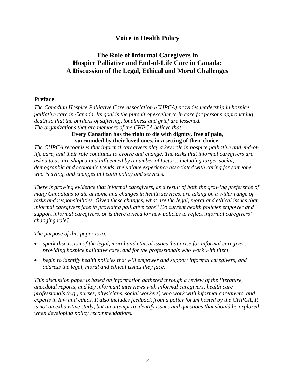# **Voice in Health Policy**

# **The Role of Informal Caregivers in Hospice Palliative and End-of-Life Care in Canada: A Discussion of the Legal, Ethical and Moral Challenges**

# **Preface**

*The Canadian Hospice Palliative Care Association (CHPCA) provides leadership in hospice palliative care in Canada. Its goal is the pursuit of excellence in care for persons approaching death so that the burdens of suffering, loneliness and grief are lessened. The organizations that are members of the CHPCA believe that:*

> **Every Canadian has the right to die with dignity, free of pain, surrounded by their loved ones, in a setting of their choice.**

*The CHPCA recognizes that informal caregivers play a key role in hospice palliative and end-oflife care, and their role continues to evolve and change. The tasks that informal caregivers are asked to do are shaped and influenced by a number of factors, including larger social, demographic and economic trends, the unique experience associated with caring for someone who is dying, and changes in health policy and services.* 

*There is growing evidence that informal caregivers, as a result of both the growing preference of many Canadians to die at home and changes in health services, are taking on a wider range of tasks and responsibilities. Given these changes, what are the legal, moral and ethical issues that informal caregivers face in providing palliative care? Do current health policies empower and support informal caregivers, or is there a need for new policies to reflect informal caregivers' changing role?* 

*The purpose of this paper is to:* 

- *spark discussion of the legal, moral and ethical issues that arise for informal caregivers providing hospice palliative care, and for the professionals who work with them*
- *begin to identify health policies that will empower and support informal caregivers, and address the legal, moral and ethical issues they face.*

*This discussion paper is based on information gathered through a review of the literature, anecdotal reports, and key informant interviews with informal caregivers, health care professionals (e.g., nurses, physicians, social workers) who work with informal caregivers, and experts in law and ethics. It also includes feedback from a policy forum hosted by the CHPCA, It is not an exhaustive study, but an attempt to identify issues and questions that should be explored when developing policy recommendations.*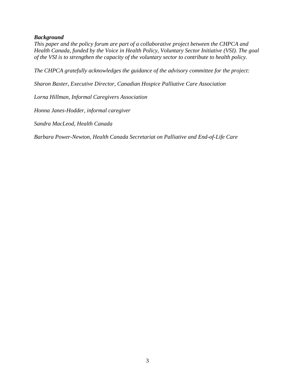#### *Background*

*This paper and the policy forum are part of a collaborative project between the CHPCA and Health Canada, funded by the Voice in Health Policy, Voluntary Sector Initiative (VSI). The goal of the VSI is to strengthen the capacity of the voluntary sector to contribute to health policy.* 

*The CHPCA gratefully acknowledges the guidance of the advisory committee for the project:* 

*Sharon Baxter, Executive Director, Canadian Hospice Palliative Care Association* 

*Lorna Hillman, Informal Caregivers Association* 

*Honna Janes-Hodder, informal caregiver* 

*Sandra MacLeod, Health Canada* 

*Barbara Power-Newton, Health Canada Secretariat on Palliative and End-of-Life Care*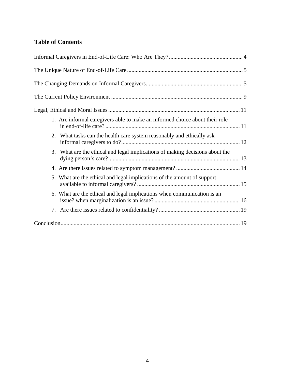# **Table of Contents**

| 1. Are informal caregivers able to make an informed choice about their role  |  |
|------------------------------------------------------------------------------|--|
| 2. What tasks can the health care system reasonably and ethically ask        |  |
| 3. What are the ethical and legal implications of making decisions about the |  |
|                                                                              |  |
| 5. What are the ethical and legal implications of the amount of support      |  |
| 6. What are the ethical and legal implications when communication is an      |  |
|                                                                              |  |
|                                                                              |  |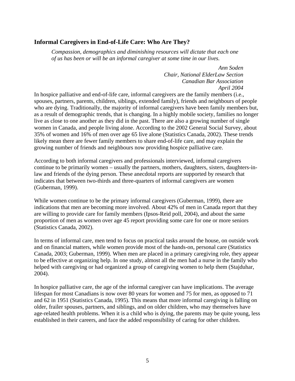# **Informal Caregivers in End-of-Life Care: Who Are They?**

*Compassion, demographics and diminishing resources will dictate that each one of us has been or will be an informal caregiver at some time in our lives.* 

> *Ann Soden Chair, National ElderLaw Section Canadian Bar Association April 2004*

In hospice palliative and end-of-life care, informal caregivers are the family members (i.e., spouses, partners, parents, children, siblings, extended family), friends and neighbours of people who are dying. Traditionally, the majority of informal caregivers have been family members but, as a result of demographic trends, that is changing. In a highly mobile society, families no longer live as close to one another as they did in the past. There are also a growing number of single women in Canada, and people living alone. According to the 2002 General Social Survey, about 35% of women and 16% of men over age 65 live alone (Statistics Canada, 2002). These trends likely mean there are fewer family members to share end-of-life care, and may explain the growing number of friends and neighbours now providing hospice palliative care.

According to both informal caregivers and professionals interviewed, informal caregivers continue to be primarily women – usually the partners, mothers, daughters, sisters, daughters-inlaw and friends of the dying person. These anecdotal reports are supported by research that indicates that between two-thirds and three-quarters of informal caregivers are women (Guberman, 1999).

While women continue to be the primary informal caregivers (Guberman, 1999), there are indications that men are becoming more involved. About 42% of men in Canada report that they are willing to provide care for family members (Ipsos-Reid poll, 2004), and about the same proportion of men as women over age 45 report providing some care for one or more seniors (Statistics Canada, 2002).

In terms of informal care, men tend to focus on practical tasks around the house, on outside work and on financial matters, while women provide most of the hands-on, personal care (Statistics Canada, 2003; Guberman, 1999). When men are placed in a primary caregiving role, they appear to be effective at organizing help. In one study, almost all the men had a nurse in the family who helped with caregiving or had organized a group of caregiving women to help them (Stajduhar, 2004).

In hospice palliative care, the age of the informal caregiver can have implications. The average lifespan for most Canadians is now over 80 years for women and 75 for men, as opposed to 71 and 62 in 1951 (Statistics Canada, 1995). This means that more informal caregiving is falling on older, frailer spouses, partners, and siblings, and on older children, who may themselves have age-related health problems. When it is a child who is dying, the parents may be quite young, less established in their careers, and face the added responsibility of caring for other children.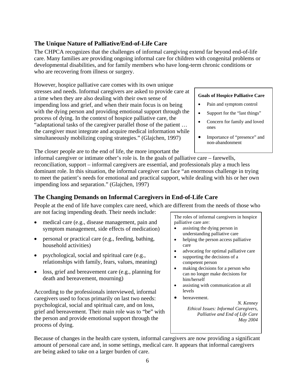# **The Unique Nature of Palliative/End-of-Life Care**

The CHPCA recognizes that the challenges of informal caregiving extend far beyond end-of-life care. Many families are providing ongoing informal care for children with congenital problems or developmental disabilities, and for family members who have long-term chronic conditions or who are recovering from illness or surgery.

However, hospice palliative care comes with its own unique stresses and needs. Informal caregivers are asked to provide care at a time when they are also dealing with their own sense of impending loss and grief, and when their main focus is on being with the dying person and providing emotional support through the process of dying. In the context of hospice palliative care, the "adaptational tasks of the caregiver parallel those of the patient … the caregiver must integrate and acquire medical information while simultaneously mobilizing coping strategies." (Glajchen, 1997)

The closer people are to the end of life, the more important the

#### informal caregiver or intimate other's role is. In the goals of palliative care – farewells, reconciliation, support – informal caregivers are essential, and professionals play a much less dominant role. In this situation, the informal caregiver can face "an enormous challenge in trying to meet the patient's needs for emotional and practical support, while dealing with his or her own impending loss and separation." (Glajchen, 1997)

# **The Changing Demands on Informal Caregivers in End-of-Life Care**

People at the end of life have complex care need, which are different from the needs of those who are not facing impending death. Their needs include:

- medical care (e.g., disease management, pain and symptom management, side effects of medication)
- personal or practical care (e.g., feeding, bathing, household activities)
- psychological, social and spiritual care (e.g., relationships with family, fears, values, meaning)
- loss, grief and bereavement care (e.g., planning for death and bereavement, mourning)

According to the professionals interviewed, informal caregivers used to focus primarily on last two needs: psychological, social and spiritual care, and on loss, grief and bereavement. Their main role was to "be" with the person and provide emotional support through the process of dying.

The roles of informal caregivers in hospice palliative care are:

- assisting the dying person in understanding palliative care
- helping the person access palliative care
- advocating for optimal palliative care
- supporting the decisions of a competent person
- making decisions for a person who can no longer make decisions for him/herself
- assisting with communication at all levels
- bereavement.

*N. Kenney Ethical Issues: Informal Caregivers, Palliative and End of Life Care May 2004*

Because of changes in the health care system, informal caregivers are now providing a significant amount of personal care and, in some settings, medical care. It appears that informal caregivers are being asked to take on a larger burden of care.

# **Goals of Hospice Palliative Care**

- Pain and symptom control
- Support for the "last things"
- Concern for family and loved ones
- Importance of "presence" and non-abandonment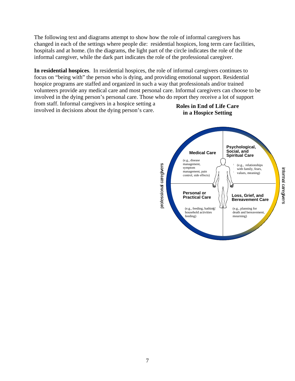The following text and diagrams attempt to show how the role of informal caregivers has changed in each of the settings where people die: residential hospices, long term care facilities, hospitals and at home. (In the diagrams, the light part of the circle indicates the role of the informal caregiver, while the dark part indicates the role of the professional caregiver.

**In residential hospices**. In residential hospices, the role of informal caregivers continues to focus on "being with" the person who is dying, and providing emotional support. Residential hospice programs are staffed and organized in such a way that professionals and/or trained volunteers provide any medical care and most personal care. Informal caregivers can choose to be involved in the dying person's personal care. Those who do report they receive a lot of support

from staff. Informal caregivers in a hospice setting a involved in decisions about the dying person's care.

**Roles in End of Life Care in a Hospice Setting**

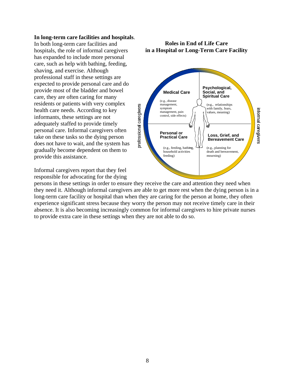#### **In long-term care facilities and hospitals**.

In both long-term care facilities and hospitals, the role of informal caregivers has expanded to include more personal care, such as help with bathing, feeding, shaving, and exercise. Although professional staff in these settings are expected to provide personal care and do provide most of the bladder and bowel care, they are often caring for many residents or patients with very complex health care needs. According to key informants, these settings are not adequately staffed to provide timely personal care. Informal caregivers often take on these tasks so the dying person does not have to wait, and the system has gradually become dependent on them to provide this assistance.

Informal caregivers report that they feel responsible for advocating for the dying

persons in these settings in order to ensure they receive the care and attention they need when they need it. Although informal caregivers are able to get more rest when the dying person is in a long-term care facility or hospital than when they are caring for the person at home, they often experience significant stress because they worry the person may not receive timely care in their absence. It is also becoming increasingly common for informal caregivers to hire private nurses to provide extra care in these settings when they are not able to do so.

#### **Roles in End of Life Care in a Hospital or Long-Term Care Facility**

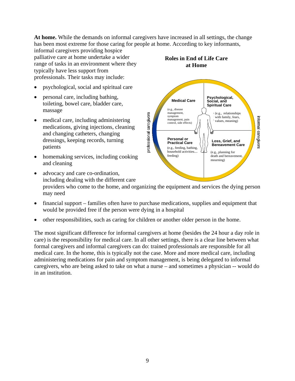**At home.** While the demands on informal caregivers have increased in all settings, the change has been most extreme for those caring for people at home. According to key informants,

informal caregivers providing hospice palliative care at home undertake a wider range of tasks in an environment where they typically have less support from professionals. Their tasks may include:

- psychological, social and spiritual care
- personal care, including bathing, toileting, bowel care, bladder care, massage
- medical care, including administering medications, giving injections, cleaning and changing catheters, changing dressings, keeping records, turning patients
- homemaking services, including cooking and cleaning



**Roles in End of Life Care at Home**



- advocacy and care co-ordination, including dealing with the different care providers who come to the home, and organizing the equipment and services the dying person may need
- financial support families often have to purchase medications, supplies and equipment that would be provided free if the person were dying in a hospital
- other responsibilities, such as caring for children or another older person in the home.

The most significant difference for informal caregivers at home (besides the 24 hour a day role in care) is the responsibility for medical care. In all other settings, there is a clear line between what formal caregivers and informal caregivers can do: trained professionals are responsible for all medical care. In the home, this is typically not the case. More and more medical care, including administering medications for pain and symptom management, is being delegated to informal caregivers, who are being asked to take on what a nurse – and sometimes a physician -- would do in an institution.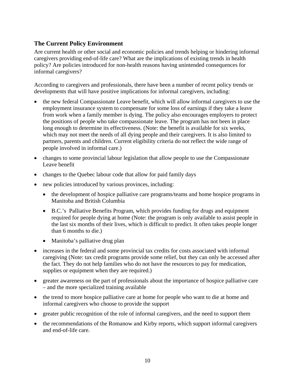# **The Current Policy Environment**

Are current health or other social and economic policies and trends helping or hindering informal caregivers providing end-of-life care? What are the implications of existing trends in health policy? Are policies introduced for non-health reasons having unintended consequences for informal caregivers?

According to caregivers and professionals, there have been a number of recent policy trends or developments that will have positive implications for informal caregivers, including:

- the new federal Compassionate Leave benefit, which will allow informal caregivers to use the employment insurance system to compensate for some loss of earnings if they take a leave from work when a family member is dying. The policy also encourages employers to protect the positions of people who take compassionate leave. The program has not been in place long enough to determine its effectiveness. (Note: the benefit is available for six weeks, which may not meet the needs of all dying people and their caregivers. It is also limited to partners, parents and children. Current eligibility criteria do not reflect the wide range of people involved in informal care.)
- changes to some provincial labour legislation that allow people to use the Compassionate Leave benefit
- changes to the Quebec labour code that allow for paid family days
- new policies introduced by various provinces, including:
	- the development of hospice palliative care programs/teams and home hospice programs in Manitoba and British Columbia
	- B.C.'s Palliative Benefits Program, which provides funding for drugs and equipment required for people dying at home (Note: the program is only available to assist people in the last six months of their lives, which is difficult to predict. It often takes people longer than 6 months to die.)
	- Manitoba's palliative drug plan
- increases in the federal and some provincial tax credits for costs associated with informal caregiving (Note: tax credit programs provide some relief, but they can only be accessed after the fact. They do not help families who do not have the resources to pay for medication, supplies or equipment when they are required.)
- greater awareness on the part of professionals about the importance of hospice palliative care – and the more specialized training available
- the trend to more hospice palliative care at home for people who want to die at home and informal caregivers who choose to provide the support
- greater public recognition of the role of informal caregivers, and the need to support them
- the recommendations of the Romanow and Kirby reports, which support informal caregivers and end-of-life care.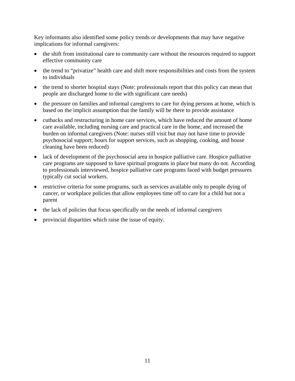Key informants also identified some policy trends or developments that may have negative implications for informal caregivers:

- the shift from institutional care to community care without the resources required to support effective community care
- the trend to "privatize" health care and shift more responsibilities and costs from the system to individuals
- the trend to shorter hospital stays (Note: professionals report that this policy can mean that people are discharged home to die with significant care needs)
- the pressure on families and informal caregivers to care for dying persons at home, which is based on the implicit assumption that the family will be there to provide assistance
- cutbacks and restructuring in home care services, which have reduced the amount of home care available, including nursing care and practical care in the home, and increased the burden on informal caregivers (Note: nurses still visit but may not have time to provide psychosocial support; hours for support services, such as shopping, cooking, and house cleaning have been reduced)
- lack of development of the psychosocial area in hospice palliative care. Hospice palliative care programs are supposed to have spiritual programs in place but many do not. According to professionals interviewed, hospice palliative care programs faced with budget pressures typically cut social workers.
- restrictive criteria for some programs, such as services available only to people dying of cancer, or workplace policies that allow employees time off to care for a child but not a parent
- the lack of policies that focus specifically on the needs of informal caregivers
- provincial disparities which raise the issue of equity.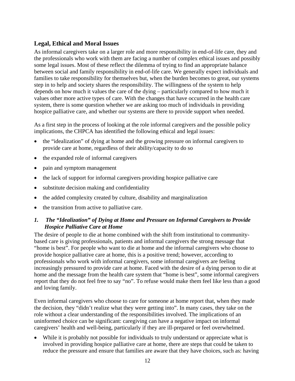# **Legal, Ethical and Moral Issues**

As informal caregivers take on a larger role and more responsibility in end-of-life care, they and the professionals who work with them are facing a number of complex ethical issues and possibly some legal issues. Most of these reflect the dilemma of trying to find an appropriate balance between social and family responsibility in end-of-life care. We generally expect individuals and families to take responsibility for themselves but, when the burden becomes to great, our systems step in to help and society shares the responsibility. The willingness of the system to help depends on how much it values the care of the dying – particularly compared to how much it values other more active types of care. With the changes that have occurred in the health care system, there is some question whether we are asking too much of individuals in providing hospice palliative care, and whether our systems are there to provide support when needed.

As a first step in the process of looking at the role informal caregivers and the possible policy implications, the CHPCA has identified the following ethical and legal issues:

- the "idealization" of dying at home and the growing pressure on informal caregivers to provide care at home, regardless of their ability/capacity to do so
- the expanded role of informal caregivers
- pain and symptom management
- the lack of support for informal caregivers providing hospice palliative care
- substitute decision making and confidentiality
- the added complexity created by culture, disability and marginalization
- the transition from active to palliative care.

# *1. The "Idealization" of Dying at Home and Pressure on Informal Caregivers to Provide Hospice Palliative Care at Home*

The desire of people to die at home combined with the shift from institutional to communitybased care is giving professionals, patients and informal caregivers the strong message that "home is best". For people who want to die at home and the informal caregivers who choose to provide hospice palliative care at home, this is a positive trend; however, according to professionals who work with informal caregivers, some informal caregivers are feeling increasingly pressured to provide care at home. Faced with the desire of a dying person to die at home and the message from the health care system that "home is best", some informal caregivers report that they do not feel free to say "no". To refuse would make them feel like less than a good and loving family.

Even informal caregivers who choose to care for someone at home report that, when they made the decision, they "didn't realize what they were getting into". In many cases, they take on the role without a clear understanding of the responsibilities involved. The implications of an uninformed choice can be significant: caregiving can have a negative impact on informal caregivers' health and well-being, particularly if they are ill-prepared or feel overwhelmed.

• While it is probably not possible for individuals to truly understand or appreciate what is involved in providing hospice palliative care at home, there are steps that could be taken to reduce the pressure and ensure that families are aware that they have choices, such as: having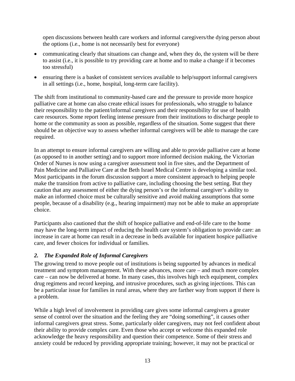open discussions between health care workers and informal caregivers/the dying person about the options (i.e., home is not necessarily best for everyone)

- communicating clearly that situations can change and, when they do, the system will be there to assist (i.e., it is possible to try providing care at home and to make a change if it becomes too stressful)
- ensuring there is a basket of consistent services available to help/support informal caregivers in all settings (i.e., home, hospital, long-term care facility).

The shift from institutional to community-based care and the pressure to provide more hospice palliative care at home can also create ethical issues for professionals, who struggle to balance their responsibility to the patient/informal caregivers and their responsibility for use of health care resources. Some report feeling intense pressure from their institutions to discharge people to home or the community as soon as possible, regardless of the situation. Some suggest that there should be an objective way to assess whether informal caregivers will be able to manage the care required.

In an attempt to ensure informal caregivers are willing and able to provide palliative care at home (as opposed to in another setting) and to support more informed decision making, the Victorian Order of Nurses is now using a caregiver assessment tool in five sites, and the Department of Pain Medicine and Palliative Care at the Beth Israel Medical Centre is developing a similar tool. Most participants in the forum discussion support a more consistent approach to helping people make the transition from active to palliative care, including choosing the best setting. But they caution that any assessment of either the dying person's or the informal caregiver's ability to make an informed choice must be culturally sensitive and avoid making assumptions that some people, because of a disability (e.g., hearing impairment) may not be able to make an appropriate choice.

Participants also cautioned that the shift of hospice palliative and end-of-life care to the home may have the long-term impact of reducing the health care system's obligation to provide care: an increase in care at home can result in a decrease in beds available for inpatient hospice palliative care, and fewer choices for individual or families.

# *2. The Expanded Role of Informal Caregivers*

The growing trend to move people out of institutions is being supported by advances in medical treatment and symptom management. With these advances, more care – and much more complex care – can now be delivered at home. In many cases, this involves high tech equipment, complex drug regimens and record keeping, and intrusive procedures, such as giving injections. This can be a particular issue for families in rural areas, where they are farther way from support if there is a problem.

While a high level of involvement in providing care gives some informal caregivers a greater sense of control over the situation and the feeling they are "doing something", it causes other informal caregivers great stress. Some, particularly older caregivers, may not feel confident about their ability to provide complex care. Even those who accept or welcome this expanded role acknowledge the heavy responsibility and question their competence. Some of their stress and anxiety could be reduced by providing appropriate training; however, it may not be practical or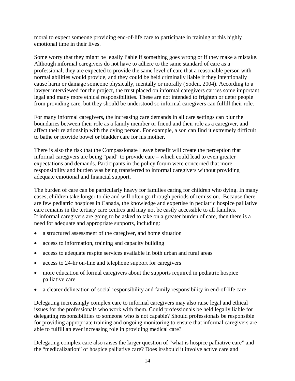moral to expect someone providing end-of-life care to participate in training at this highly emotional time in their lives.

Some worry that they might be legally liable if something goes wrong or if they make a mistake. Although informal caregivers do not have to adhere to the same standard of care as a professional, they are expected to provide the same level of care that a reasonable person with normal abilities would provide, and they could be held criminally liable if they intentionally cause harm or damage someone physically, mentally or morally (Soden, 2004). According to a lawyer interviewed for the project, the trust placed on informal caregivers carries some important legal and many more ethical responsibilities. These are not intended to frighten or deter people from providing care, but they should be understood so informal caregivers can fulfill their role.

For many informal caregivers, the increasing care demands in all care settings can blur the boundaries between their role as a family member or friend and their role as a caregiver, and affect their relationship with the dying person. For example, a son can find it extremely difficult to bathe or provide bowel or bladder care for his mother.

There is also the risk that the Compassionate Leave benefit will create the perception that informal caregivers are being "paid" to provide care – which could lead to even greater expectations and demands. Participants in the policy forum were concerned that more responsibility and burden was being transferred to informal caregivers without providing adequate emotional and financial support.

The burden of care can be particularly heavy for families caring for children who dying. In many cases, children take longer to die and will often go through periods of remission. Because there are few pediatric hospices in Canada, the knowledge and expertise in pediatric hospice palliative care remains in the tertiary care centres and may not be easily accessible to all families. If informal caregivers are going to be asked to take on a greater burden of care, then there is a need for adequate and appropriate supports, including:

- a structured assessment of the caregiver, and home situation
- access to information, training and capacity building
- access to adequate respite services available in both urban and rural areas
- access to 24-hr on-line and telephone support for caregivers
- more education of formal caregivers about the supports required in pediatric hospice palliative care
- a clearer delineation of social responsibility and family responsibility in end-of-life care.

Delegating increasingly complex care to informal caregivers may also raise legal and ethical issues for the professionals who work with them. Could professionals be held legally liable for delegating responsibilities to someone who is not capable? Should professionals be responsible for providing appropriate training and ongoing monitoring to ensure that informal caregivers are able to fulfill an ever increasing role in providing medical care?

Delegating complex care also raises the larger question of "what is hospice palliative care" and the "medicalization" of hospice palliative care? Does it/should it involve active care and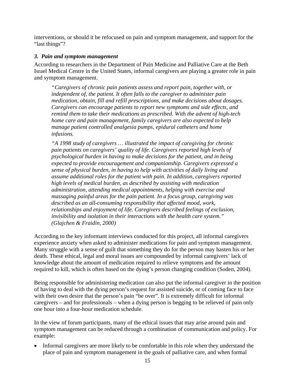interventions, or should it be refocused on pain and symptom management, and support for the "last things"?

#### *3. Pain and symptom management*

According to researchers in the Department of Pain Medicine and Palliative Care at the Beth Israel Medical Centre in the United States, informal caregivers are playing a greater role in pain and symptom management.

*"Caregivers of chronic pain patients assess and report pain, together with, or independent of, the patient. It often falls to the caregiver to administer pain medication, obtain, fill and refill prescriptions, and make decisions about dosages. Caregivers can encourage patients to report new symptoms and side effects, and remind them to take their medications as prescribed. With the advent of high-tech home care and pain management, family caregivers are also expected to help manage patient controlled analgesia pumps, epidural catheters and home infusions.* 

*"A 1998 study of caregivers … illustrated the impact of caregiving for chronic pain patients on caregivers' quality of life. Caregivers reported high levels of psychological burden in having to make decisions for the patient, and in being expected to provide encouragement and companionship. Caregivers expressed a sense of physical burden, in having to help with activities of daily living and assume additional roles for the patient with pain. In addition, caregivers reported high levels of medical burden, as described by assisting with medication administration, attending medical appointments, helping with exercise and massaging painful areas for the pain patient. In a focus group, caregiving was described as an all-consuming responsibility that affected mood, work, relationships and enjoyment of life. Caregivers described feelings of exclusion, invisibility and isolation in their interactions with the health care system." (Glajchen & Fraidin, 2000)* 

According to the key informant interviews conducted for this project, all informal caregivers experience anxiety when asked to administer medications for pain and symptom management. Many struggle with a sense of guilt that something they do for the person may hasten his or her death. These ethical, legal and moral issues are compounded by informal caregivers' lack of knowledge about the amount of medication required to relieve symptoms and the amount required to kill, which is often based on the dying's person changing condition (Soden, 2004).

Being responsible for administering medication can also put the informal caregiver in the position of having to deal with the dying person's request for assisted suicide, or of coming face to face with their own desire that the person's pain "be over". It is extremely difficult for informal caregivers – and for professionals – when a dying person is begging to be relieved of pain only one hour into a four-hour medication schedule.

In the view of forum participants, many of the ethical issues that may arise around pain and symptom management can be reduced through a combination of communication and policy. For example:

• Informal caregivers are more likely to be comfortable in this role when they understand the place of pain and symptom management in the goals of palliative care, and when formal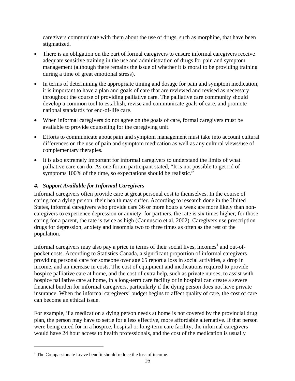caregivers communicate with them about the use of drugs, such as morphine, that have been stigmatized.

- There is an obligation on the part of formal caregivers to ensure informal caregivers receive adequate sensitive training in the use and administration of drugs for pain and symptom management (although there remains the issue of whether it is moral to be providing training during a time of great emotional stress).
- In terms of determining the appropriate timing and dosage for pain and symptom medication, it is important to have a plan and goals of care that are reviewed and revised as necessary throughout the course of providing palliative care. The palliative care community should develop a common tool to establish, revise and communicate goals of care, and promote national standards for end-of-life care.
- When informal caregivers do not agree on the goals of care, formal caregivers must be available to provide counseling for the caregiving unit.
- Efforts to communicate about pain and symptom management must take into account cultural differences on the use of pain and symptom medication as well as any cultural views/use of complementary therapies.
- It is also extremely important for informal caregivers to understand the limits of what palliative care can do. As one forum participant stated, "It is not possible to get rid of symptoms 100% of the time, so expectations should be realistic."

# *4. Support Available for Informal Caregivers*

Informal caregivers often provide care at great personal cost to themselves. In the course of caring for a dying person, their health may suffer. According to research done in the United States, informal caregivers who provide care 36 or more hours a week are more likely than noncaregivers to experience depression or anxiety: for partners, the rate is six times higher; for those caring for a parent, the rate is twice as high (Cannuscio et al, 2002). Caregivers use prescription drugs for depression, anxiety and insomnia two to three times as often as the rest of the population.

Informal caregivers may also pay a price in terms of their social lives, incomes<sup>1</sup> and out-ofpocket costs. According to Statistics Canada, a significant proportion of informal caregivers providing personal care for someone over age 65 report a loss in social activities, a drop in income, and an increase in costs. The cost of equipment and medications required to provide hospice palliative care at home, and the cost of extra help, such as private nurses, to assist with hospice palliative care at home, in a long-term care facility or in hospital can create a severe financial burden for informal caregivers, particularly if the dying person does not have private insurance. When the informal caregivers' budget begins to affect quality of care, the cost of care can become an ethical issue.

For example, if a medication a dying person needs at home is not covered by the provincial drug plan, the person may have to settle for a less effective, more affordable alternative. If that person were being cared for in a hospice, hospital or long-term care facility, the informal caregivers would have 24 hour access to health professionals, and the cost of the medication is usually

1

<sup>&</sup>lt;sup>1</sup> The Compassionate Leave benefit should reduce the loss of income.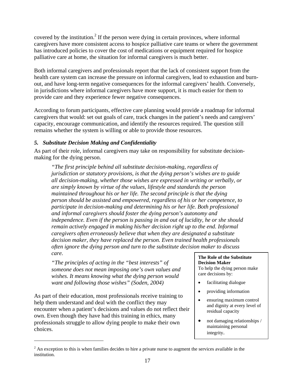covered by the institution.<sup>2</sup> If the person were dying in certain provinces, where informal caregivers have more consistent access to hospice palliative care teams or where the government has introduced policies to cover the cost of medications or equipment required for hospice palliative care at home, the situation for informal caregivers is much better.

Both informal caregivers and professionals report that the lack of consistent support from the health care system can increase the pressure on informal caregivers, lead to exhaustion and burnout, and have long-term negative consequences for the informal caregivers' health. Conversely, in jurisdictions where informal caregivers have more support, it is much easier for them to provide care and they experience fewer negative consequences.

According to forum participants, effective care planning would provide a roadmap for informal caregivers that would: set out goals of care, track changes in the patient's needs and caregivers' capacity, encourage communication, and identify the resources required. The question still remains whether the system is willing or able to provide those resources.

# *5. Substitute Decision Making and Confidentiality*

As part of their role, informal caregivers may take on responsibility for substitute decisionmaking for the dying person.

*"The first principle behind all substitute decision-making, regardless of jurisdiction or statutory provisions, is that the dying person's wishes are to guide all decision-making, whether those wishes are expressed in writing or verbally, or are simply known by virtue of the values, lifestyle and standards the person maintained throughout his or her life. The second principle is that the dying person should be assisted and empowered, regardless of his or her competence, to participate in decision-making and determining his or her life. Both professional and informal caregivers should foster the dying person's autonomy and independence. Even if the person is passing in and out of lucidity, he or she should remain actively engaged in making his/her decision right up to the end. Informal caregivers often erroneously believe that when they are designated a substitute decision maker, they have replaced the person. Even trained health professionals often ignore the dying person and turn to the substitute decision maker to discuss care.* 

*"The principles of acting in the "best interests" of someone does not mean imposing one's own values and wishes. It means knowing what the dying person would want and following those wishes" (Soden, 2004)* 

As part of their education, most professionals receive training to help them understand and deal with the conflict they may encounter when a patient's decisions and values do not reflect their own. Even though they have had this training in ethics, many professionals struggle to allow dying people to make their own choices.

1

**The Role of the Substitute Decision Maker**  To help the dying person make care decisions by:

- facilitating dialogue
- providing information
- ensuring maximum control and dignity at every level of residual capacity
- not damaging relationships / maintaining personal integrity.

 $2^{2}$  An exception to this is when families decides to hire a private nurse to augment the services available in the institution.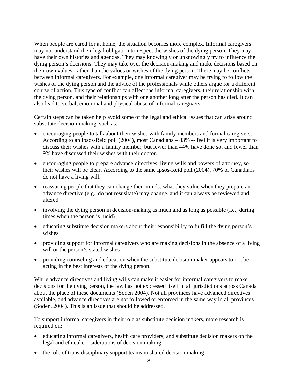When people are cared for at home, the situation becomes more complex. Informal caregivers may not understand their legal obligation to respect the wishes of the dying person. They may have their own histories and agendas. They may knowingly or unknowingly try to influence the dying person's decisions. They may take over the decision-making and make decisions based on their own values, rather than the values or wishes of the dying person. There may be conflicts between informal caregivers. For example, one informal caregiver may be trying to follow the wishes of the dying person and the advice of the professionals while others argue for a different course of action. This type of conflict can affect the informal caregivers, their relationship with the dying person, and their relationships with one another long after the person has died. It can also lead to verbal, emotional and physical abuse of informal caregivers.

Certain steps can be taken help avoid some of the legal and ethical issues that can arise around substitute decision-making, such as:

- encouraging people to talk about their wishes with family members and formal caregivers. According to an Ipsos-Reid poll (2004), most Canadians – 83% -- feel it is very important to discuss their wishes with a family member, but fewer than 44% have done so, and fewer than 9% have discussed their wishes with their doctor.
- encouraging people to prepare advance directives, living wills and powers of attorney, so their wishes will be clear. According to the same Ipsos-Reid poll (2004), 70% of Canadians do not have a living will.
- reassuring people that they can change their minds: what they value when they prepare an advance directive (e.g., do not resusitate) may change, and it can always be reviewed and altered
- involving the dying person in decision-making as much and as long as possible (i.e., during times when the person is lucid)
- educating substitute decision makers about their responsibility to fulfill the dying person's wishes
- providing support for informal caregivers who are making decisions in the absence of a living will or the person's stated wishes
- providing counseling and education when the substitute decision maker appears to not be acting in the best interests of the dying person.

While advance directives and living wills can make it easier for informal caregivers to make decisions for the dying person, the law has not expressed itself in all jurisdictions across Canada about the place of these documents (Soden 2004). Not all provinces have advanced directives available, and advance directives are not followed or enforced in the same way in all provinces (Soden, 2004). This is an issue that should be addressed.

To support informal caregivers in their role as substitute decision makers, more research is required on:

- educating informal caregivers, health care providers, and substitute decision makers on the legal and ethical considerations of decision making
- the role of trans-disciplinary support teams in shared decision making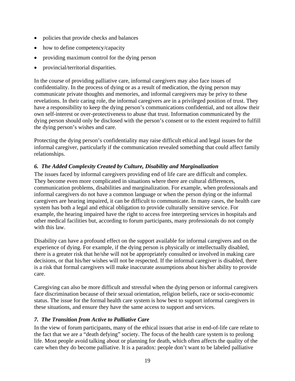- policies that provide checks and balances
- how to define competency/capacity
- providing maximum control for the dying person
- provincial/territorial disparities.

In the course of providing palliative care, informal caregivers may also face issues of confidentiality. In the process of dying or as a result of medication, the dying person may communicate private thoughts and memories, and informal caregivers may be privy to these revelations. In their caring role, the informal caregivers are in a privileged position of trust. They have a responsibility to keep the dying person's communications confidential, and not allow their own self-interest or over-protectiveness to abuse that trust. Information communicated by the dying person should only be disclosed with the person's consent or to the extent required to fulfill the dying person's wishes and care.

Protecting the dying person's confidentiality may raise difficult ethical and legal issues for the informal caregiver, particularly if the communication revealed something that could affect family relationships.

# *6. The Added Complexity Created by Culture, Disability and Marginalization*

The issues faced by informal caregivers providing end of life care are difficult and complex. They become even more complicated in situations where there are cultural differences, communication problems, disabilities and marginalization. For example, when professionals and informal caregivers do not have a common language or when the person dying or the informal caregivers are hearing impaired, it can be difficult to communicate. In many cases, the health care system has both a legal and ethical obligation to provide culturally sensitive service. For example, the hearing impaired have the right to access free interpreting services in hospitals and other medical facilities but, according to forum participants, many professionals do not comply with this law.

Disability can have a profound effect on the support available for informal caregivers and on the experience of dying. For example, if the dying person is physically or intellectually disabled, there is a greater risk that he/she will not be appropriately consulted or involved in making care decisions, or that his/her wishes will not be respected. If the informal caregiver is disabled, there is a risk that formal caregivers will make inaccurate assumptions about his/her ability to provide care.

Caregiving can also be more difficult and stressful when the dying person or informal caregivers face discrimination because of their sexual orientation, religion beliefs, race or socio-economic status. The issue for the formal health care system is how best to support informal caregivers in these situations, and ensure they have the same access to support and services.

# *7. The Transition from Active to Palliative Care*

In the view of forum participants, many of the ethical issues that arise in end-of-life care relate to the fact that we are a "death defying" society. The focus of the health care system is to prolong life. Most people avoid talking about or planning for death, which often affects the quality of the care when they do become palliative. It is a paradox: people don't want to be labeled palliative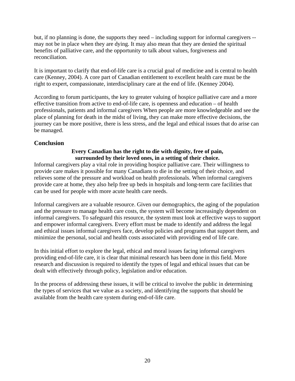but, if no planning is done, the supports they need – including support for informal caregivers - may not be in place when they are dying. It may also mean that they are denied the spiritual benefits of palliative care, and the opportunity to talk about values, forgiveness and reconciliation.

It is important to clarify that end-of-life care is a crucial goal of medicine and is central to health care (Kenney, 2004). A core part of Canadian entitlement to excellent health care must be the right to expert, compassionate, interdisciplinary care at the end of life. (Kenney 2004).

According to forum participants, the key to greater valuing of hospice palliative care and a more effective transition from active to end-of-life care, is openness and education – of health professionals, patients and informal caregivers When people are more knowledgeable and see the place of planning for death in the midst of living, they can make more effective decisions, the journey can be more positive, there is less stress, and the legal and ethical issues that do arise can be managed.

# **Conclusion**

#### **Every Canadian has the right to die with dignity, free of pain, surrounded by their loved ones, in a setting of their choice.**

Informal caregivers play a vital role in providing hospice palliative care. Their willingness to provide care makes it possible for many Canadians to die in the setting of their choice, and relieves some of the pressure and workload on health professionals. When informal caregivers provide care at home, they also help free up beds in hospitals and long-term care facilities that can be used for people with more acute health care needs.

Informal caregivers are a valuable resource. Given our demographics, the aging of the population and the pressure to manage health care costs, the system will become increasingly dependent on informal caregivers. To safeguard this resource, the system must look at effective ways to support and empower informal caregivers. Every effort must be made to identify and address the legal and ethical issues informal caregivers face, develop policies and programs that support them, and minimize the personal, social and health costs associated with providing end of life care.

In this initial effort to explore the legal, ethical and moral issues facing informal caregivers providing end-of-life care, it is clear that minimal research has been done in this field. More research and discussion is required to identify the types of legal and ethical issues that can be dealt with effectively through policy, legislation and/or education.

In the process of addressing these issues, it will be critical to involve the public in determining the types of services that we value as a society, and identifying the supports that should be available from the health care system during end-of-life care.